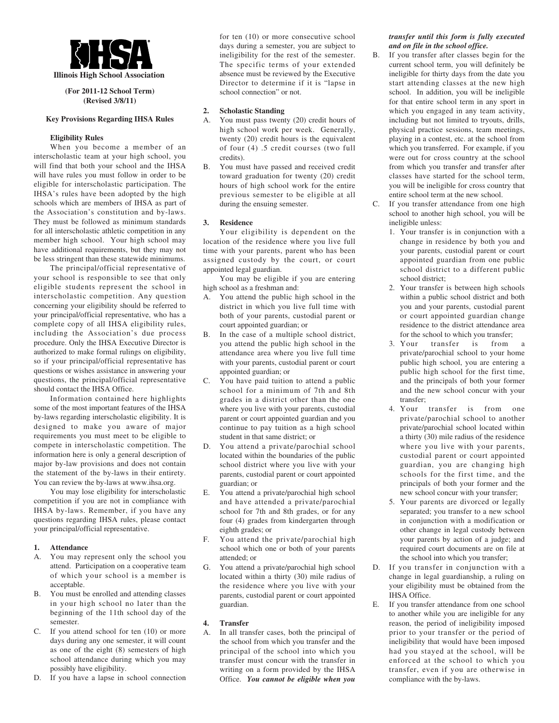

**(For 2011-12 School Term) (Revised 3/8/11)**

### **Key Provisions Regarding IHSA Rules**

## **Eligibility Rules**

When you become a member of an interscholastic team at your high school, you will find that both your school and the IHSA will have rules you must follow in order to be eligible for interscholastic participation. The IHSA's rules have been adopted by the high schools which are members of IHSA as part of the Association's constitution and by-laws. They must be followed as minimum standards for all interscholastic athletic competition in any member high school. Your high school may have additional requirements, but they may not be less stringent than these statewide minimums.

The principal/official representative of your school is responsible to see that only eligible students represent the school in interscholastic competition. Any question concerning your eligibility should be referred to your principal/official representative, who has a complete copy of all IHSA eligibility rules, including the Association's due process procedure. Only the IHSA Executive Director is authorized to make formal rulings on eligibility, so if your principal/official representative has questions or wishes assistance in answering your questions, the principal/official representative should contact the IHSA Office.

Information contained here highlights some of the most important features of the IHSA by-laws regarding interscholastic eligibility. It is designed to make you aware of major requirements you must meet to be eligible to compete in interscholastic competition. The information here is only a general description of major by-law provisions and does not contain the statement of the by-laws in their entirety. You can review the by-laws at www.ihsa.org.

You may lose eligibility for interscholastic competition if you are not in compliance with IHSA by-laws. Remember, if you have any questions regarding IHSA rules, please contact your principal/official representative.

### **1. Attendance**

- A. You may represent only the school you attend. Participation on a cooperative team of which your school is a member is acceptable.
- B. You must be enrolled and attending classes in your high school no later than the beginning of the 11th school day of the semester.
- If you attend school for ten  $(10)$  or more days during any one semester, it will count as one of the eight (8) semesters of high school attendance during which you may possibly have eligibility.
- D. If you have a lapse in school connection

for ten (10) or more consecutive school days during a semester, you are subject to ineligibility for the rest of the semester. The specific terms of your extended absence must be reviewed by the Executive Director to determine if it is "lapse in school connection" or not.

### **2. Scholastic Standing**

- A. You must pass twenty (20) credit hours of high school work per week. Generally, twenty (20) credit hours is the equivalent of four (4) .5 credit courses (two full credits).
- B. You must have passed and received credit toward graduation for twenty (20) credit hours of high school work for the entire previous semester to be eligible at all during the ensuing semester.

#### **3. Residence**

Your eligibility is dependent on the location of the residence where you live full time with your parents, parent who has been assigned custody by the court, or court appointed legal guardian.

You may be eligible if you are entering high school as a freshman and:

- A. You attend the public high school in the district in which you live full time with both of your parents, custodial parent or court appointed guardian; or
- B. In the case of a multiple school district, you attend the public high school in the attendance area where you live full time with your parents, custodial parent or court appointed guardian; or
- C. You have paid tuition to attend a public school for a minimum of 7th and 8th grades in a district other than the one where you live with your parents, custodial parent or court appointed guardian and you continue to pay tuition as a high school student in that same district; or
- D. You attend a private/parochial school located within the boundaries of the public school district where you live with your parents, custodial parent or court appointed guardian; or
- E. You attend a private/parochial high school and have attended a private/parochial school for 7th and 8th grades, or for any four (4) grades from kindergarten through eighth grades; or
- F. You attend the private/parochial high school which one or both of your parents attended; or
- G. You attend a private/parochial high school located within a thirty (30) mile radius of the residence where you live with your parents, custodial parent or court appointed guardian.

### **4. Transfer**

A. In all transfer cases, both the principal of the school from which you transfer and the principal of the school into which you transfer must concur with the transfer in writing on a form provided by the IHSA Office. *You cannot be eligible when you*

### *transfer until this form is fully executed and on file in the school office.*

- B. If you transfer after classes begin for the current school term, you will definitely be ineligible for thirty days from the date you start attending classes at the new high school. In addition, you will be ineligible for that entire school term in any sport in which you engaged in any team activity, including but not limited to tryouts, drills, physical practice sessions, team meetings, playing in a contest, etc. at the school from which you transferred. For example, if you were out for cross country at the school from which you transfer and transfer after classes have started for the school term, you will be ineligible for cross country that entire school term at the new school.
- C. If you transfer attendance from one high school to another high school, you will be ineligible unless:
	- 1. Your transfer is in conjunction with a change in residence by both you and your parents, custodial parent or court appointed guardian from one public school district to a different public school district;
	- 2. Your transfer is between high schools within a public school district and both you and your parents, custodial parent or court appointed guardian change residence to the district attendance area for the school to which you transfer;
	- 3. Your transfer is from a private/parochial school to your home public high school, you are entering a public high school for the first time, and the principals of both your former and the new school concur with your transfer;
	- 4. Your transfer is from one private/parochial school to another private/parochial school located within a thirty (30) mile radius of the residence where you live with your parents, custodial parent or court appointed guardian, you are changing high schools for the first time, and the principals of both your former and the new school concur with your transfer;
	- 5. Your parents are divorced or legally separated; you transfer to a new school in conjunction with a modification or other change in legal custody between your parents by action of a judge; and required court documents are on file at the school into which you transfer;
- D. If you transfer in conjunction with a change in legal guardianship, a ruling on your eligibility must be obtained from the IHSA Office.
- E. If you transfer attendance from one school to another while you are ineligible for any reason, the period of ineligibility imposed prior to your transfer or the period of ineligibility that would have been imposed had you stayed at the school, will be enforced at the school to which you transfer, even if you are otherwise in compliance with the by-laws.